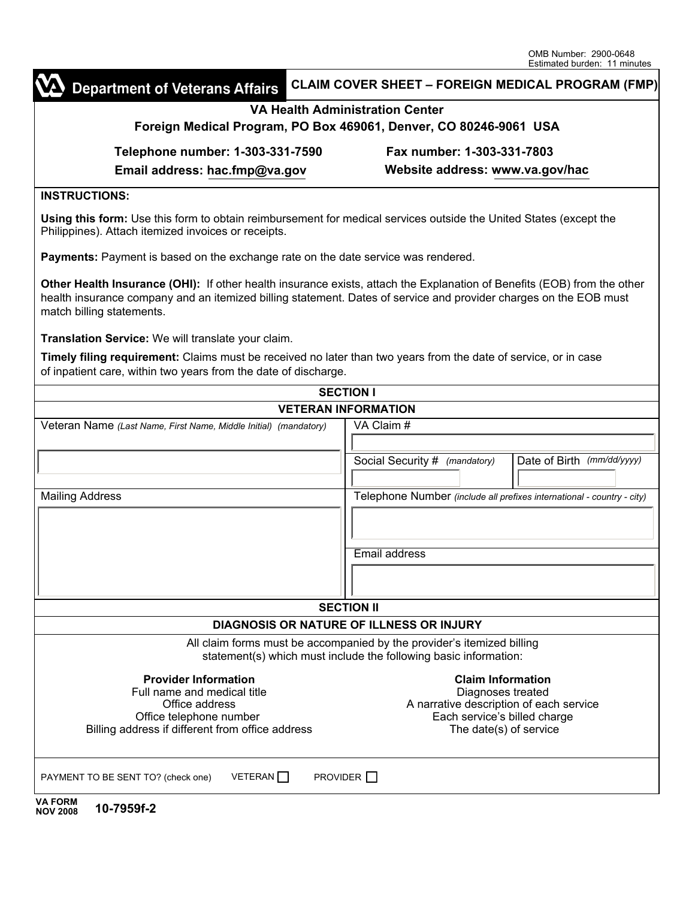|                                                                                                                                                                                                                                                                           | Estimated burden: 11 minutes                                           |
|---------------------------------------------------------------------------------------------------------------------------------------------------------------------------------------------------------------------------------------------------------------------------|------------------------------------------------------------------------|
| <b>Department of Veterans Affairs</b>                                                                                                                                                                                                                                     | <b>CLAIM COVER SHEET - FOREIGN MEDICAL PROGRAM (FMP)</b>               |
| <b>VA Health Administration Center</b><br>Foreign Medical Program, PO Box 469061, Denver, CO 80246-9061 USA                                                                                                                                                               |                                                                        |
|                                                                                                                                                                                                                                                                           |                                                                        |
| Email address: hac.fmp@va.gov                                                                                                                                                                                                                                             | Website address: www.va.gov/hac                                        |
| <b>INSTRUCTIONS:</b>                                                                                                                                                                                                                                                      |                                                                        |
| Using this form: Use this form to obtain reimbursement for medical services outside the United States (except the<br>Philippines). Attach itemized invoices or receipts.                                                                                                  |                                                                        |
| Payments: Payment is based on the exchange rate on the date service was rendered.                                                                                                                                                                                         |                                                                        |
| Other Health Insurance (OHI): If other health insurance exists, attach the Explanation of Benefits (EOB) from the other<br>health insurance company and an itemized billing statement. Dates of service and provider charges on the EOB must<br>match billing statements. |                                                                        |
| Translation Service: We will translate your claim.                                                                                                                                                                                                                        |                                                                        |
| Timely filing requirement: Claims must be received no later than two years from the date of service, or in case<br>of inpatient care, within two years from the date of discharge.                                                                                        |                                                                        |
|                                                                                                                                                                                                                                                                           | <b>SECTION I</b>                                                       |
| <b>VETERAN INFORMATION</b>                                                                                                                                                                                                                                                |                                                                        |
| Veteran Name (Last Name, First Name, Middle Initial) (mandatory)                                                                                                                                                                                                          | VA Claim#                                                              |
|                                                                                                                                                                                                                                                                           | Date of Birth (mm/dd/yyyy)<br>Social Security # (mandatory)            |
|                                                                                                                                                                                                                                                                           |                                                                        |
| <b>Mailing Address</b>                                                                                                                                                                                                                                                    | Telephone Number (include all prefixes international - country - city) |
|                                                                                                                                                                                                                                                                           |                                                                        |
|                                                                                                                                                                                                                                                                           | Email address                                                          |
|                                                                                                                                                                                                                                                                           |                                                                        |
|                                                                                                                                                                                                                                                                           |                                                                        |
| <b>SECTION II</b>                                                                                                                                                                                                                                                         |                                                                        |
|                                                                                                                                                                                                                                                                           | <b>DIAGNOSIS OR NATURE OF ILLNESS OR INJURY</b>                        |
|                                                                                                                                                                                                                                                                           | All claim forms must be accompanied by the provider's itemized billing |
|                                                                                                                                                                                                                                                                           | statement(s) which must include the following basic information:       |
| <b>Provider Information</b>                                                                                                                                                                                                                                               | <b>Claim Information</b>                                               |
| Full name and medical title<br>Office address                                                                                                                                                                                                                             | Diagnoses treated<br>A narrative description of each service           |
| Office telephone number                                                                                                                                                                                                                                                   | Each service's billed charge                                           |
| Billing address if different from office address                                                                                                                                                                                                                          | The date(s) of service                                                 |
| VETERAN <sup>[1]</sup><br>PROVIDER $\Box$<br>PAYMENT TO BE SENT TO? (check one)                                                                                                                                                                                           |                                                                        |
| <b>VA FORM</b>                                                                                                                                                                                                                                                            |                                                                        |

| VA FORM         |            |
|-----------------|------------|
| <b>NOV 2008</b> | 10-7959f-2 |